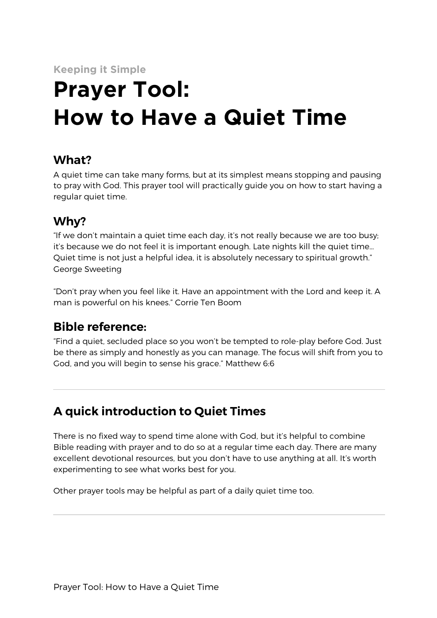**Keeping it Simple**

# **Prayer Tool: How to Have a Quiet Time**

## **What?**

A quiet time can take many forms, but at its simplest means stopping and pausing to pray with God. This prayer tool will practically guide you on how to start having a regular quiet time.

# **Why?**

"If we don't maintain a quiet time each day, it's not really because we are too busy; it's because we do not feel it is important enough. Late nights kill the quiet time… Quiet time is not just a helpful idea, it is absolutely necessary to spiritual growth." George Sweeting

"Don't pray when you feel like it. Have an appointment with the Lord and keep it. A man is powerful on his knees." Corrie Ten Boom

## **Bible reference:**

"Find a quiet, secluded place so you won't be tempted to role-play before God. Just be there as simply and honestly as you can manage. The focus will shift from you to God, and you will begin to sense his grace." Matthew 6:6

# **A quick introduction to Quiet Times**

There is no fixed way to spend time alone with God, but it's helpful to combine Bible reading with prayer and to do so at a regular time each day. There are many excellent devotional resources, but you don't have to use anything at all. It's worth experimenting to see what works best for you.

Other prayer tools may be helpful as part of a daily quiet time too.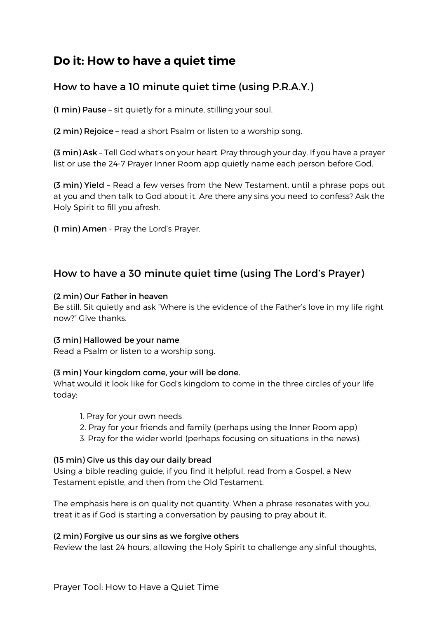## **Do it: How to have a quiet time**

## How to have a 10 minute quiet time (using P.R.A.Y.)

(1 min) Pause – sit quietly for a minute, stilling your soul.

(2 min) Rejoice – read a short Psalm or listen to a worship song.

(3 min) Ask – Tell God what's on your heart. Pray through your day. If you have a prayer list or use the 24-7 Prayer Inner Room app quietly name each person before God.

(3 min) Yield – Read a few verses from the New Testament, until a phrase pops out at you and then talk to God about it. Are there any sins you need to confess? Ask the Holy Spirit to fill you afresh.

(1 min) Amen - Pray the Lord's Prayer.

## How to have a 30 minute quiet time (using The Lord's Prayer)

#### (2 min) Our Father in heaven

Be still. Sit quietly and ask "Where is the evidence of the Father's love in my life right now?" Give thanks.

#### (3 min) Hallowed be your name

Read a Psalm or listen to a worship song.

#### (3 min) Your kingdom come, your will be done.

What would it look like for God's kingdom to come in the three circles of your life today:

- 1. Pray for your own needs
- 2. Pray for your friends and family (perhaps using the Inner Room app)
- 3. Pray for the wider world (perhaps focusing on situations in the news).

#### (15 min) Give us this day our daily bread

Using a bible reading guide, if you find it helpful, read from a Gospel, a New Testament epistle, and then from the Old Testament.

The emphasis here is on quality not quantity. When a phrase resonates with you, treat it as if God is starting a conversation by pausing to pray about it.

#### (2 min) Forgive us our sins as we forgive others

Review the last 24 hours, allowing the Holy Spirit to challenge any sinful thoughts,